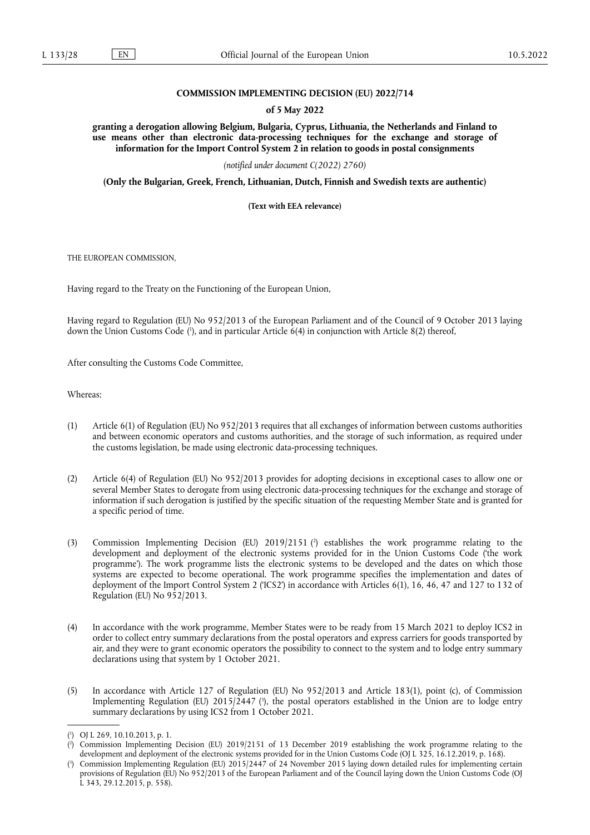## **COMMISSION IMPLEMENTING DECISION (EU) 2022/714**

### **of 5 May 2022**

**granting a derogation allowing Belgium, Bulgaria, Cyprus, Lithuania, the Netherlands and Finland to use means other than electronic data-processing techniques for the exchange and storage of information for the Import Control System 2 in relation to goods in postal consignments** 

*(notified under document C(2022) 2760)* 

**(Only the Bulgarian, Greek, French, Lithuanian, Dutch, Finnish and Swedish texts are authentic)** 

**(Text with EEA relevance)** 

THE EUROPEAN COMMISSION,

Having regard to the Treaty on the Functioning of the European Union,

<span id="page-0-3"></span>Having regard to Regulation (EU) No 952/2013 of the European Parliament and of the Council of 9 October 2013 laying down the Union Customs Code [\(](#page-0-0) 1 ), and in particular Article 6(4) in conjunction with Article 8(2) thereof,

After consulting the Customs Code Committee,

Whereas:

- (1) Article 6(1) of Regulation (EU) No 952/2013 requires that all exchanges of information between customs authorities and between economic operators and customs authorities, and the storage of such information, as required under the customs legislation, be made using electronic data-processing techniques.
- (2) Article 6(4) of Regulation (EU) No 952/2013 provides for adopting decisions in exceptional cases to allow one or several Member States to derogate from using electronic data-processing techniques for the exchange and storage of information if such derogation is justified by the specific situation of the requesting Member State and is granted for a specific period of time.
- <span id="page-0-4"></span>(3) Commission Implementing Decision (EU) 2019/2151 [\(](#page-0-1) 2 ) establishes the work programme relating to the development and deployment of the electronic systems provided for in the Union Customs Code ('the work programme'). The work programme lists the electronic systems to be developed and the dates on which those systems are expected to become operational. The work programme specifies the implementation and dates of deployment of the Import Control System 2 ('ICS2') in accordance with Articles 6(1), 16, 46, 47 and 127 to 132 of Regulation (EU) No 952/2013.
- (4) In accordance with the work programme, Member States were to be ready from 15 March 2021 to deploy ICS2 in order to collect entry summary declarations from the postal operators and express carriers for goods transported by air, and they were to grant economic operators the possibility to connect to the system and to lodge entry summary declarations using that system by 1 October 2021.
- <span id="page-0-5"></span>(5) In accordance with Article 127 of Regulation (EU) No 952/2013 and Article 183(1), point (c), of Commission Implementing Regulation (EU) 2015/2447 (3[\),](#page-0-2) the postal operators established in the Union are to lodge entry summary declarations by using ICS2 from 1 October 2021.

<span id="page-0-0"></span>[<sup>\(</sup>](#page-0-3) 1 ) OJ L 269, 10.10.2013, p. 1.

<span id="page-0-1"></span>[<sup>\(</sup>](#page-0-4) 2 ) Commission Implementing Decision (EU) 2019/2151 of 13 December 2019 establishing the work programme relating to the development and deployment of the electronic systems provided for in the Union Customs Code (OJ L 325, 16.12.2019, p. 168).

<span id="page-0-2"></span>[<sup>\(</sup>](#page-0-5) 3 ) Commission Implementing Regulation (EU) 2015/2447 of 24 November 2015 laying down detailed rules for implementing certain provisions of Regulation (EU) No 952/2013 of the European Parliament and of the Council laying down the Union Customs Code (OJ L 343, 29.12.2015, p. 558).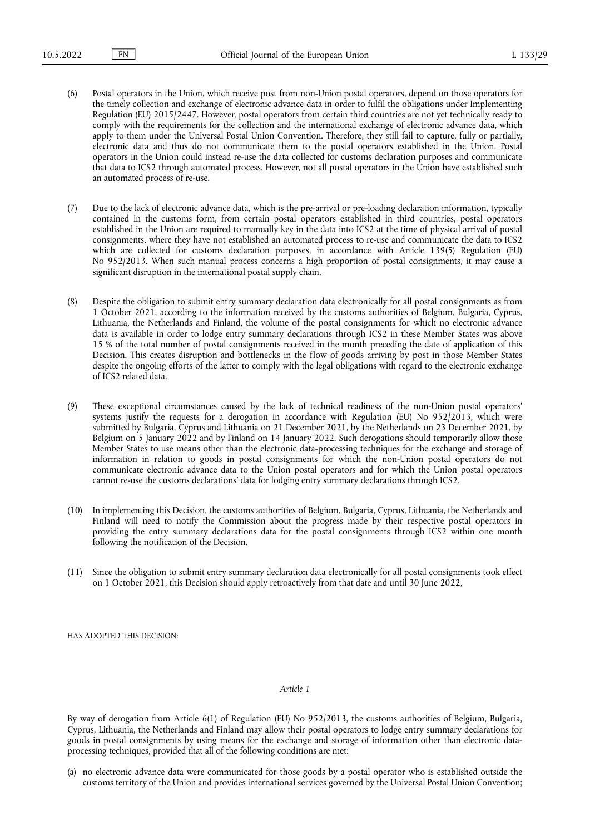- (6) Postal operators in the Union, which receive post from non-Union postal operators, depend on those operators for the timely collection and exchange of electronic advance data in order to fulfil the obligations under Implementing Regulation (EU) 2015/2447. However, postal operators from certain third countries are not yet technically ready to comply with the requirements for the collection and the international exchange of electronic advance data, which apply to them under the Universal Postal Union Convention. Therefore, they still fail to capture, fully or partially, electronic data and thus do not communicate them to the postal operators established in the Union. Postal operators in the Union could instead re-use the data collected for customs declaration purposes and communicate that data to ICS2 through automated process. However, not all postal operators in the Union have established such an automated process of re-use.
- (7) Due to the lack of electronic advance data, which is the pre-arrival or pre-loading declaration information, typically contained in the customs form, from certain postal operators established in third countries, postal operators established in the Union are required to manually key in the data into ICS2 at the time of physical arrival of postal consignments, where they have not established an automated process to re-use and communicate the data to ICS2 which are collected for customs declaration purposes, in accordance with Article 139(5) Regulation (EU) No 952/2013. When such manual process concerns a high proportion of postal consignments, it may cause a significant disruption in the international postal supply chain.
- (8) Despite the obligation to submit entry summary declaration data electronically for all postal consignments as from 1 October 2021, according to the information received by the customs authorities of Belgium, Bulgaria, Cyprus, Lithuania, the Netherlands and Finland, the volume of the postal consignments for which no electronic advance data is available in order to lodge entry summary declarations through ICS2 in these Member States was above 15 % of the total number of postal consignments received in the month preceding the date of application of this Decision. This creates disruption and bottlenecks in the flow of goods arriving by post in those Member States despite the ongoing efforts of the latter to comply with the legal obligations with regard to the electronic exchange of ICS2 related data.
- (9) These exceptional circumstances caused by the lack of technical readiness of the non-Union postal operators' systems justify the requests for a derogation in accordance with Regulation (EU) No 952/2013, which were submitted by Bulgaria, Cyprus and Lithuania on 21 December 2021, by the Netherlands on 23 December 2021, by Belgium on 5 January 2022 and by Finland on 14 January 2022. Such derogations should temporarily allow those Member States to use means other than the electronic data-processing techniques for the exchange and storage of information in relation to goods in postal consignments for which the non-Union postal operators do not communicate electronic advance data to the Union postal operators and for which the Union postal operators cannot re-use the customs declarations' data for lodging entry summary declarations through ICS2.
- (10) In implementing this Decision, the customs authorities of Belgium, Bulgaria, Cyprus, Lithuania, the Netherlands and Finland will need to notify the Commission about the progress made by their respective postal operators in providing the entry summary declarations data for the postal consignments through ICS2 within one month following the notification of the Decision.
- (11) Since the obligation to submit entry summary declaration data electronically for all postal consignments took effect on 1 October 2021, this Decision should apply retroactively from that date and until 30 June 2022,

HAS ADOPTED THIS DECISION:

#### *Article 1*

By way of derogation from Article 6(1) of Regulation (EU) No 952/2013, the customs authorities of Belgium, Bulgaria, Cyprus, Lithuania, the Netherlands and Finland may allow their postal operators to lodge entry summary declarations for goods in postal consignments by using means for the exchange and storage of information other than electronic dataprocessing techniques, provided that all of the following conditions are met:

(a) no electronic advance data were communicated for those goods by a postal operator who is established outside the customs territory of the Union and provides international services governed by the Universal Postal Union Convention;